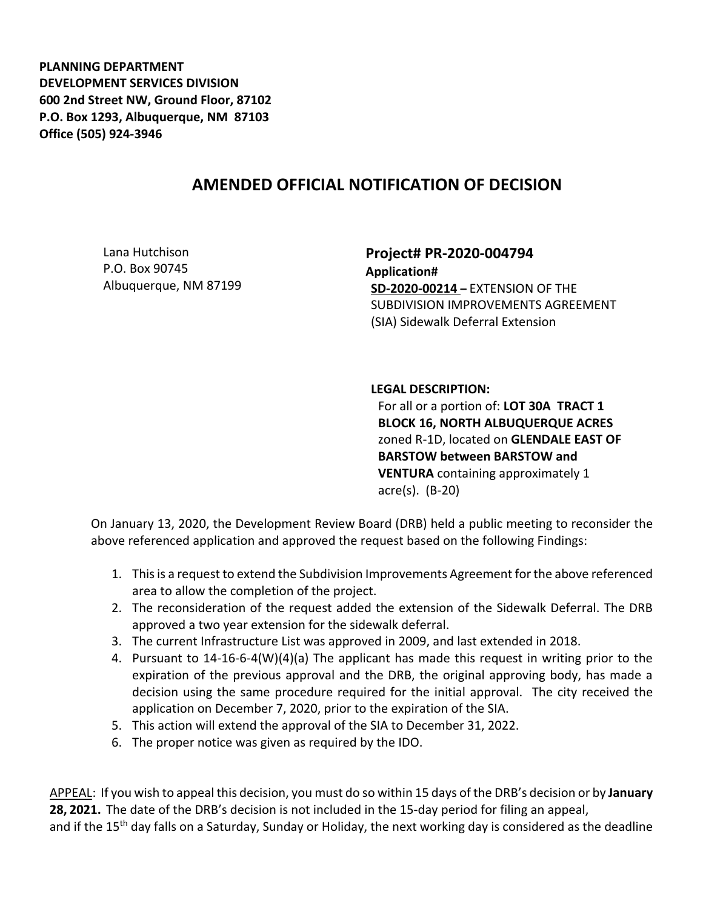**PLANNING DEPARTMENT DEVELOPMENT SERVICES DIVISION 600 2nd Street NW, Ground Floor, 87102 P.O. Box 1293, Albuquerque, NM 87103 Office (505) 924-3946** 

## **AMENDED OFFICIAL NOTIFICATION OF DECISION**

Lana Hutchison P.O. Box 90745 Albuquerque, NM 87199 **Project# PR-2020-004794 Application# SD-2020-00214 –** EXTENSION OF THE SUBDIVISION IMPROVEMENTS AGREEMENT (SIA) Sidewalk Deferral Extension

## **LEGAL DESCRIPTION:**

For all or a portion of: **LOT 30A TRACT 1 BLOCK 16, NORTH ALBUQUERQUE ACRES**  zoned R-1D, located on **GLENDALE EAST OF BARSTOW between BARSTOW and VENTURA** containing approximately 1 acre(s). (B-20)

On January 13, 2020, the Development Review Board (DRB) held a public meeting to reconsider the above referenced application and approved the request based on the following Findings:

- 1. This is a request to extend the Subdivision Improvements Agreement for the above referenced area to allow the completion of the project.
- 2. The reconsideration of the request added the extension of the Sidewalk Deferral. The DRB approved a two year extension for the sidewalk deferral.
- 3. The current Infrastructure List was approved in 2009, and last extended in 2018.
- 4. Pursuant to 14-16-6-4(W)(4)(a) The applicant has made this request in writing prior to the expiration of the previous approval and the DRB, the original approving body, has made a decision using the same procedure required for the initial approval. The city received the application on December 7, 2020, prior to the expiration of the SIA.
- 5. This action will extend the approval of the SIA to December 31, 2022.
- 6. The proper notice was given as required by the IDO.

APPEAL: If you wish to appeal this decision, you must do so within 15 days of the DRB's decision or by **January 28, 2021.** The date of the DRB's decision is not included in the 15-day period for filing an appeal, and if the 15<sup>th</sup> day falls on a Saturday, Sunday or Holiday, the next working day is considered as the deadline